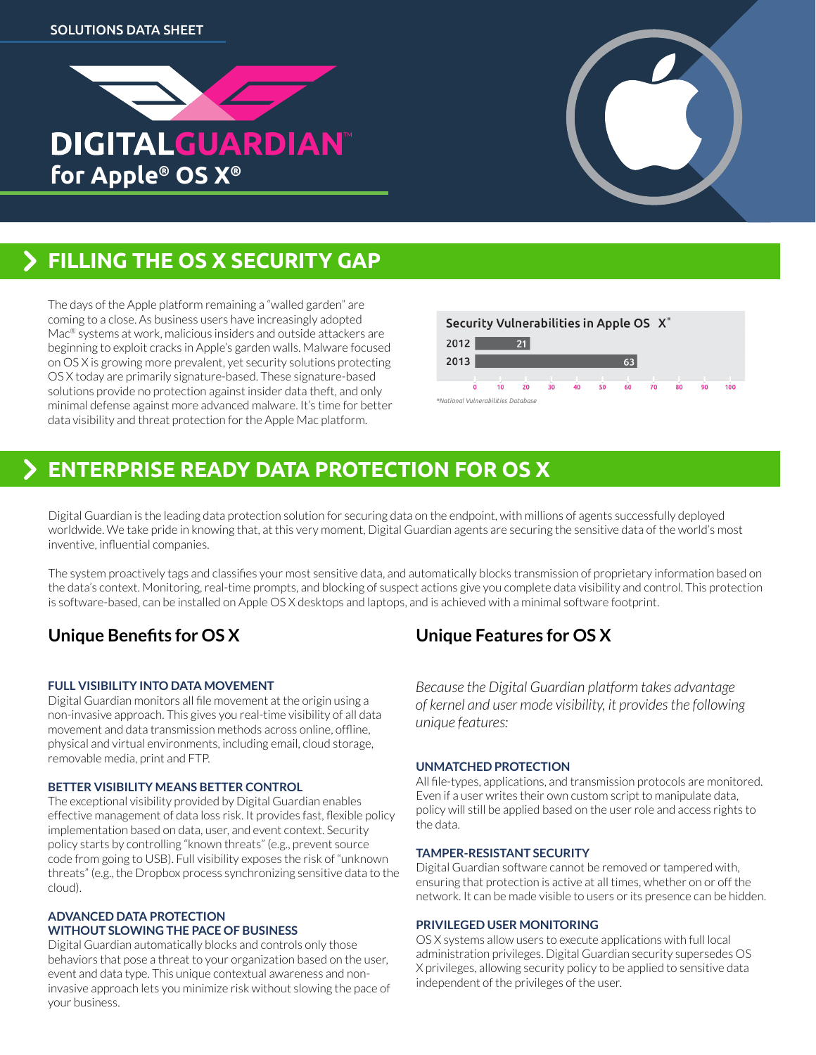



The days of the Apple platform remaining a "walled garden" are coming to a close. As business users have increasingly adopted Mac® systems at work, malicious insiders and outside attackers are beginning to exploit cracks in Apple's garden walls. Malware focused on OS X is growing more prevalent, yet security solutions protecting OS X today are primarily signature-based. These signature-based solutions provide no protection against insider data theft, and only minimal defense against more advanced malware. It's time for better data visibility and threat protection for the Apple Mac platform.



# **ENTERPRISE READY DATA PROTECTION FOR OS X**

Digital Guardian is the leading data protection solution for securing data on the endpoint, with millions of agents successfully deployed worldwide. We take pride in knowing that, at this very moment, Digital Guardian agents are securing the sensitive data of the world's most inventive, influential companies.

The system proactively tags and classifies your most sensitive data, and automatically blocks transmission of proprietary information based on the data's context. Monitoring, real-time prompts, and blocking of suspect actions give you complete data visibility and control. This protection is software-based, can be installed on Apple OS X desktops and laptops, and is achieved with a minimal software footprint.

# **Unique Benefits for OS X**

## **Full visibility into data movement**

Digital Guardian monitors all file movement at the origin using a non-invasive approach. This gives you real-time visibility of all data movement and data transmission methods across online, offline, physical and virtual environments, including email, cloud storage, removable media, print and FTP.

## **Better visibility means better control**

The exceptional visibility provided by Digital Guardian enables effective management of data loss risk. It provides fast, flexible policy implementation based on data, user, and event context. Security policy starts by controlling "known threats" (e.g., prevent source code from going to USB). Full visibility exposes the risk of "unknown threats" (e.g., the Dropbox process synchronizing sensitive data to the cloud).

#### **Advanced data protection without slowing the pace of business**

Digital Guardian automatically blocks and controls only those behaviors that pose a threat to your organization based on the user, event and data type. This unique contextual awareness and noninvasive approach lets you minimize risk without slowing the pace of your business.

# **Unique Features for OS X**

*Because the Digital Guardian platform takes advantage of kernel and user mode visibility, it provides the following unique features:*

## **Unmatched protection**

All file-types, applications, and transmission protocols are monitored. Even if a user writes their own custom script to manipulate data, policy will still be applied based on the user role and access rights to the data.

## **Tamper-resistant security**

Digital Guardian software cannot be removed or tampered with, ensuring that protection is active at all times, whether on or off the network. It can be made visible to users or its presence can be hidden.

## **Privileged user monitoring**

OS X systems allow users to execute applications with full local administration privileges. Digital Guardian security supersedes OS X privileges, allowing security policy to be applied to sensitive data independent of the privileges of the user.